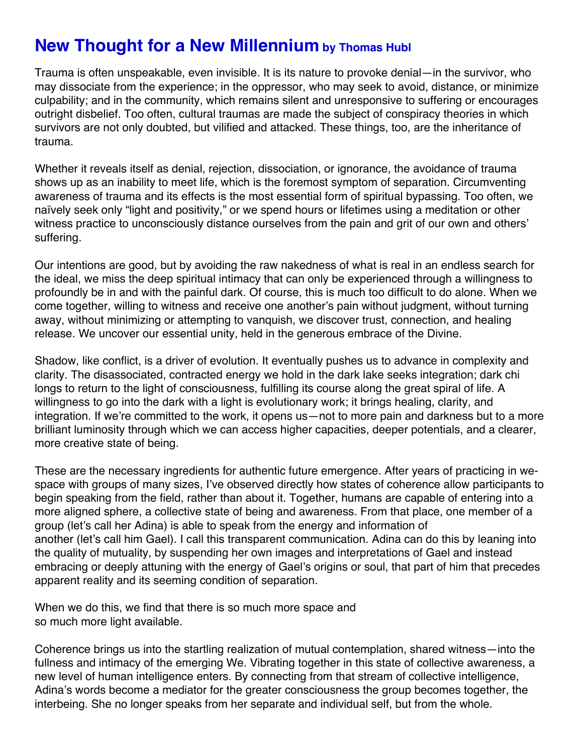## **New Thought for a New Millennium by Thomas Hubl**

Trauma is often unspeakable, even invisible. It is its nature to provoke denial—in the survivor, who may dissociate from the experience; in the oppressor, who may seek to avoid, distance, or minimize culpability; and in the community, which remains silent and unresponsive to suffering or encourages outright disbelief. Too often, cultural traumas are made the subject of conspiracy theories in which survivors are not only doubted, but vilified and attacked. These things, too, are the inheritance of trauma.

Whether it reveals itself as denial, rejection, dissociation, or ignorance, the avoidance of trauma shows up as an inability to meet life, which is the foremost symptom of separation. Circumventing awareness of trauma and its effects is the most essential form of spiritual bypassing. Too often, we naïvely seek only "light and positivity," or we spend hours or lifetimes using a meditation or other witness practice to unconsciously distance ourselves from the pain and grit of our own and others' suffering.

Our intentions are good, but by avoiding the raw nakedness of what is real in an endless search for the ideal, we miss the deep spiritual intimacy that can only be experienced through a willingness to profoundly be in and with the painful dark. Of course, this is much too difficult to do alone. When we come together, willing to witness and receive one another's pain without judgment, without turning away, without minimizing or attempting to vanquish, we discover trust, connection, and healing release. We uncover our essential unity, held in the generous embrace of the Divine.

Shadow, like conflict, is a driver of evolution. It eventually pushes us to advance in complexity and clarity. The disassociated, contracted energy we hold in the dark lake seeks integration; dark chi longs to return to the light of consciousness, fulfilling its course along the great spiral of life. A willingness to go into the dark with a light is evolutionary work; it brings healing, clarity, and integration. If we're committed to the work, it opens us—not to more pain and darkness but to a more brilliant luminosity through which we can access higher capacities, deeper potentials, and a clearer, more creative state of being.

These are the necessary ingredients for authentic future emergence. After years of practicing in wespace with groups of many sizes, I've observed directly how states of coherence allow participants to begin speaking from the field, rather than about it. Together, humans are capable of entering into a more aligned sphere, a collective state of being and awareness. From that place, one member of a group (let's call her Adina) is able to speak from the energy and information of another (let's call him Gael). I call this transparent communication. Adina can do this by leaning into the quality of mutuality, by suspending her own images and interpretations of Gael and instead embracing or deeply attuning with the energy of Gael's origins or soul, that part of him that precedes apparent reality and its seeming condition of separation.

When we do this, we find that there is so much more space and so much more light available.

Coherence brings us into the startling realization of mutual contemplation, shared witness—into the fullness and intimacy of the emerging We. Vibrating together in this state of collective awareness, a new level of human intelligence enters. By connecting from that stream of collective intelligence, Adina's words become a mediator for the greater consciousness the group becomes together, the interbeing. She no longer speaks from her separate and individual self, but from the whole.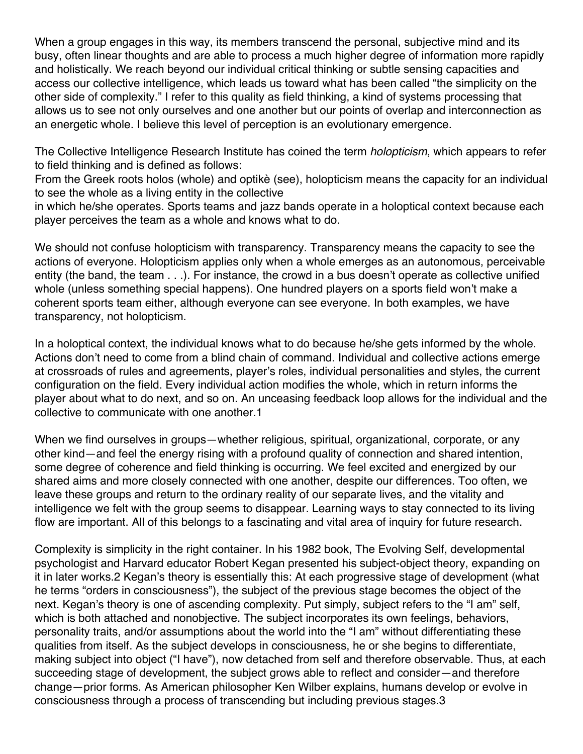When a group engages in this way, its members transcend the personal, subjective mind and its busy, often linear thoughts and are able to process a much higher degree of information more rapidly and holistically. We reach beyond our individual critical thinking or subtle sensing capacities and access our collective intelligence, which leads us toward what has been called "the simplicity on the other side of complexity." I refer to this quality as field thinking, a kind of systems processing that allows us to see not only ourselves and one another but our points of overlap and interconnection as an energetic whole. I believe this level of perception is an evolutionary emergence.

The Collective Intelligence Research Institute has coined the term *holopticism*, which appears to refer to field thinking and is defined as follows:

From the Greek roots holos (whole) and optikè (see), holopticism means the capacity for an individual to see the whole as a living entity in the collective

in which he/she operates. Sports teams and jazz bands operate in a holoptical context because each player perceives the team as a whole and knows what to do.

We should not confuse holopticism with transparency. Transparency means the capacity to see the actions of everyone. Holopticism applies only when a whole emerges as an autonomous, perceivable entity (the band, the team . . .). For instance, the crowd in a bus doesn't operate as collective unified whole (unless something special happens). One hundred players on a sports field won't make a coherent sports team either, although everyone can see everyone. In both examples, we have transparency, not holopticism.

In a holoptical context, the individual knows what to do because he/she gets informed by the whole. Actions don't need to come from a blind chain of command. Individual and collective actions emerge at crossroads of rules and agreements, player's roles, individual personalities and styles, the current configuration on the field. Every individual action modifies the whole, which in return informs the player about what to do next, and so on. An unceasing feedback loop allows for the individual and the collective to communicate with one another.1

When we find ourselves in groups—whether religious, spiritual, organizational, corporate, or any other kind—and feel the energy rising with a profound quality of connection and shared intention, some degree of coherence and field thinking is occurring. We feel excited and energized by our shared aims and more closely connected with one another, despite our differences. Too often, we leave these groups and return to the ordinary reality of our separate lives, and the vitality and intelligence we felt with the group seems to disappear. Learning ways to stay connected to its living flow are important. All of this belongs to a fascinating and vital area of inquiry for future research.

Complexity is simplicity in the right container. In his 1982 book, The Evolving Self, developmental psychologist and Harvard educator Robert Kegan presented his subject-object theory, expanding on it in later works.2 Kegan's theory is essentially this: At each progressive stage of development (what he terms "orders in consciousness"), the subject of the previous stage becomes the object of the next. Kegan's theory is one of ascending complexity. Put simply, subject refers to the "I am" self, which is both attached and nonobjective. The subject incorporates its own feelings, behaviors, personality traits, and/or assumptions about the world into the "I am" without differentiating these qualities from itself. As the subject develops in consciousness, he or she begins to differentiate, making subject into object ("I have"), now detached from self and therefore observable. Thus, at each succeeding stage of development, the subject grows able to reflect and consider—and therefore change—prior forms. As American philosopher Ken Wilber explains, humans develop or evolve in consciousness through a process of transcending but including previous stages.3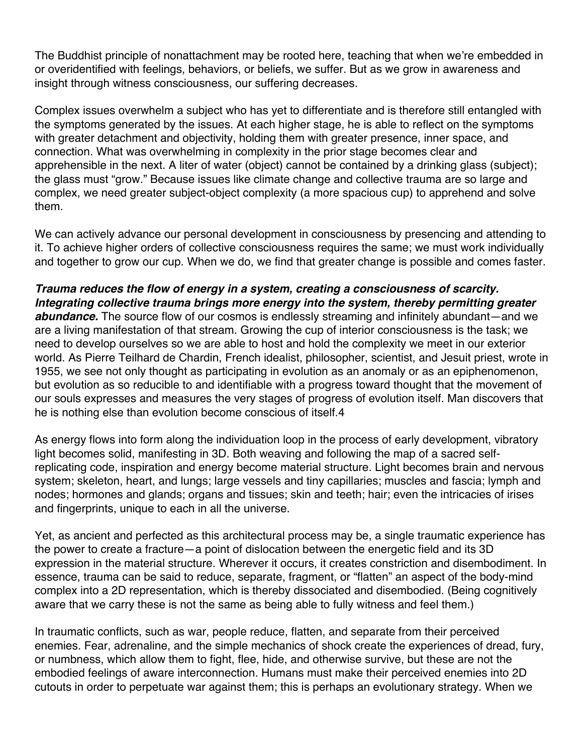The Buddhist principle of nonattachment may be rooted here, teaching that when we're embedded in or overidentified with feelings, behaviors, or beliefs, we suffer. But as we grow in awareness and insight through witness consciousness, our suffering decreases.

Complex issues overwhelm a subject who has yet to differentiate and is therefore still entangled with the symptoms generated by the issues. At each higher stage, he is able to reflect on the symptoms with greater detachment and objectivity, holding them with greater presence, inner space, and connection. What was overwhelming in complexity in the prior stage becomes clear and apprehensible in the next. A liter of water (object) cannot be contained by a drinking glass (subject); the glass must "grow." Because issues like climate change and collective trauma are so large and complex, we need greater subject-object complexity (a more spacious cup) to apprehend and solve them.

We can actively advance our personal development in consciousness by presencing and attending to it. To achieve higher orders of collective consciousness requires the same; we must work individually and together to grow our cup. When we do, we find that greater change is possible and comes faster.

## *Trauma reduces the flow of energy in a system, creating a consciousness of scarcity. Integrating collective trauma brings more energy into the system, thereby permitting greater abundance.* The source flow of our cosmos is endlessly streaming and infinitely abundant—and we are a living manifestation of that stream. Growing the cup of interior consciousness is the task; we need to develop ourselves so we are able to host and hold the complexity we meet in our exterior world. As Pierre Teilhard de Chardin, French idealist, philosopher, scientist, and Jesuit priest, wrote in 1955, we see not only thought as participating in evolution as an anomaly or as an epiphenomenon, but evolution as so reducible to and identifiable with a progress toward thought that the movement of our souls expresses and measures the very stages of progress of evolution itself. Man discovers that

As energy flows into form along the individuation loop in the process of early development, vibratory light becomes solid, manifesting in 3D. Both weaving and following the map of a sacred selfreplicating code, inspiration and energy become material structure. Light becomes brain and nervous system; skeleton, heart, and lungs; large vessels and tiny capillaries; muscles and fascia; lymph and nodes; hormones and glands; organs and tissues; skin and teeth; hair; even the intricacies of irises and fingerprints, unique to each in all the universe.

he is nothing else than evolution become conscious of itself.4

Yet, as ancient and perfected as this architectural process may be, a single traumatic experience has the power to create a fracture—a point of dislocation between the energetic field and its 3D expression in the material structure. Wherever it occurs, it creates constriction and disembodiment. In essence, trauma can be said to reduce, separate, fragment, or "flatten" an aspect of the body-mind complex into a 2D representation, which is thereby dissociated and disembodied. (Being cognitively aware that we carry these is not the same as being able to fully witness and feel them.)

In traumatic conflicts, such as war, people reduce, flatten, and separate from their perceived enemies. Fear, adrenaline, and the simple mechanics of shock create the experiences of dread, fury, or numbness, which allow them to fight, flee, hide, and otherwise survive, but these are not the embodied feelings of aware interconnection. Humans must make their perceived enemies into 2D cutouts in order to perpetuate war against them; this is perhaps an evolutionary strategy. When we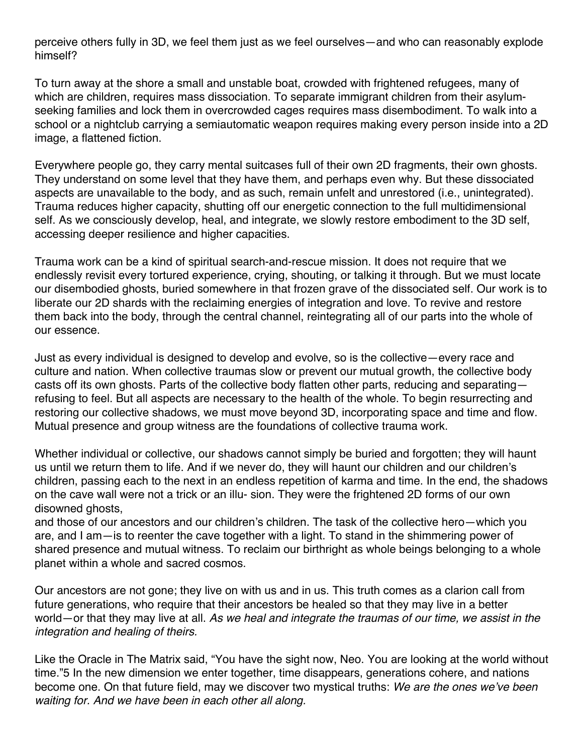perceive others fully in 3D, we feel them just as we feel ourselves—and who can reasonably explode himself?

To turn away at the shore a small and unstable boat, crowded with frightened refugees, many of which are children, requires mass dissociation. To separate immigrant children from their asylumseeking families and lock them in overcrowded cages requires mass disembodiment. To walk into a school or a nightclub carrying a semiautomatic weapon requires making every person inside into a 2D image, a flattened fiction.

Everywhere people go, they carry mental suitcases full of their own 2D fragments, their own ghosts. They understand on some level that they have them, and perhaps even why. But these dissociated aspects are unavailable to the body, and as such, remain unfelt and unrestored (i.e., unintegrated). Trauma reduces higher capacity, shutting off our energetic connection to the full multidimensional self. As we consciously develop, heal, and integrate, we slowly restore embodiment to the 3D self, accessing deeper resilience and higher capacities.

Trauma work can be a kind of spiritual search-and-rescue mission. It does not require that we endlessly revisit every tortured experience, crying, shouting, or talking it through. But we must locate our disembodied ghosts, buried somewhere in that frozen grave of the dissociated self. Our work is to liberate our 2D shards with the reclaiming energies of integration and love. To revive and restore them back into the body, through the central channel, reintegrating all of our parts into the whole of our essence.

Just as every individual is designed to develop and evolve, so is the collective—every race and culture and nation. When collective traumas slow or prevent our mutual growth, the collective body casts off its own ghosts. Parts of the collective body flatten other parts, reducing and separating refusing to feel. But all aspects are necessary to the health of the whole. To begin resurrecting and restoring our collective shadows, we must move beyond 3D, incorporating space and time and flow. Mutual presence and group witness are the foundations of collective trauma work.

Whether individual or collective, our shadows cannot simply be buried and forgotten; they will haunt us until we return them to life. And if we never do, they will haunt our children and our children's children, passing each to the next in an endless repetition of karma and time. In the end, the shadows on the cave wall were not a trick or an illu- sion. They were the frightened 2D forms of our own disowned ghosts,

and those of our ancestors and our children's children. The task of the collective hero—which you are, and I am—is to reenter the cave together with a light. To stand in the shimmering power of shared presence and mutual witness. To reclaim our birthright as whole beings belonging to a whole planet within a whole and sacred cosmos.

Our ancestors are not gone; they live on with us and in us. This truth comes as a clarion call from future generations, who require that their ancestors be healed so that they may live in a better world—or that they may live at all. *As we heal and integrate the traumas of our time, we assist in the integration and healing of theirs.*

Like the Oracle in The Matrix said, "You have the sight now, Neo. You are looking at the world without time."5 In the new dimension we enter together, time disappears, generations cohere, and nations become one. On that future field, may we discover two mystical truths: *We are the ones we've been waiting for. And we have been in each other all along.*